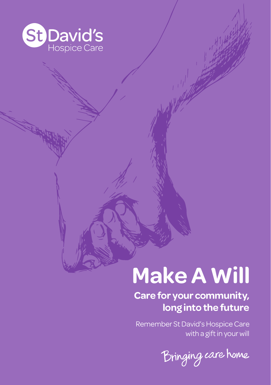

## **Make A Will**

#### **Care for your community, long into the future**

Remember St David's Hospice Care with a gift in your will

Bringing care home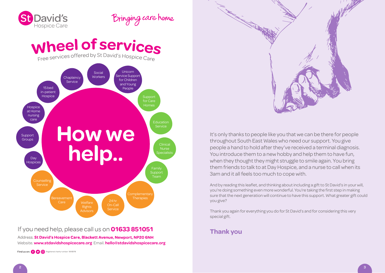

### Bringing care home

# Wheel of services of Free services



#### If you need help, please call us on 01633 851051

Address. St David's Hospice Care, Blackett Avenue, Newport, NP20 6NH Website. **www.stdavidshospicecare.org** Email. **hello@stdavidshospicecare.org**

Find us on: ( ) © Registered charity number: 1010576



It's only thanks to people like you that we can be there for people throughout South East Wales who need our support. You give people a hand to hold after they've received a terminal diagnosis. You introduce them to a new hobby and help them to have fun, when they thought they might struggle to smile again. You bring them friends to talk to at Day Hospice, and a nurse to call when its 3am and it all feels too much to cope with.

And by reading this leaflet, and thinking about including a gift to St David's in your will, you're doing something even more wonderful. You're taking the first step in making sure that the next generation will continue to have this support. What greater gift could you give?

Thank you again for everything you do for St David's and for considering this very special gift.

#### **Thank you**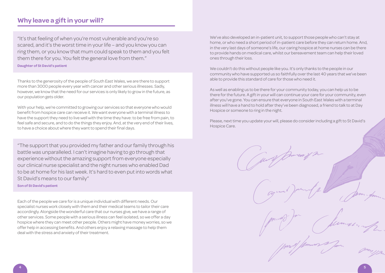#### **Why leave a gift in your will?**

"It's that feeling of when you're most vulnerable and you're so scared, and it's the worst time in your life – and you know you can ring them, or you know that mum could speak to them and you felt them there for you. You felt the general love from them."

**Daughter of St David's patient**

Thanks to the generosity of the people of South East Wales, we are there to support more than 3000 people every year with cancer and other serious illnesses. Sadly, however, we know that the need for our services is only likely to grow in the future, as our population gets older.

With your help, we're committed to growing our services so that everyone who would benefit from hospice care can receive it. We want everyone with a terminal illness to have the support they need to live well with the time they have: to be free from pain, to feel safe and secure, and to do the things they enjoy. And, at the very end of their lives, to have a choice about where they want to spend their final days.

"The support that you provided my father and our family through his battle was unparalleled. I can't imagine having to go through that experience without the amazing support from everyone especially our clinical nurse specialist and the night nurses who enabled Dad to be at home for his last week. It's hard to even put into words what St David's means to our family"

**Son of St David's patient**

Each of the people we care for is a unique individual with different needs. Our specialist nurses work closely with them and their medical teams to tailor their care accordingly. Alongside the wonderful care that our nurses give, we have a range of other services. Some people with a serious illness can feel isolated, so we offer a day hospice where they can meet other people. Others might have money worries, so we offer help in accessing benefits. And others enjoy a relaxing massage to help them deal with the stress and anxiety of their treatment.

We've also developed an in-patient unit, to support those people who can't stay at home, or who need a short period of in-patient care before they can return home. And, in the very last days of someone's life, our caring hospice at home nurses can be there to provide hands on medical care, whilst our bereavement team can help their loved ones through their loss.

We couldn't do this without people like you. It's only thanks to the people in our community who have supported us so faithfully over the last 40 years that we've been able to provide this standard of care for those who need it.

As well as enabling us to be there for your community today, you can help us to be there for the future. A gift in your will can continue your care for your community, even after you've gone. You can ensure that everyone in South East Wales with a terminal illness will have a hand to hold after they've been diagnosed, a friend to talk to at Day Hospice or someone to ring in the night.

Please, next time you update your will, please do consider including a gift to St David's Hospice Care.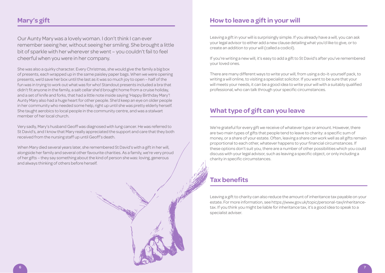#### **Mary's gift**

Our Aunty Mary was a lovely woman. I don't think I can ever remember seeing her, without seeing her smiling. She brought a little bit of sparkle with her wherever she went – you couldn't fail to feel cheerful when you were in her company.

She was also a quirky character. Every Christmas, she would give the family a big box of presents, each wrapped up in the same paisley paper bags. When we were opening presents, we'd save her box until the last as it was so much joy to open – half of the fun was in trying to work out what was for who! Standout presents included a bra that didn't fit anyone in the family, a salt cellar she'd brought home from a cruise holiday, and a set of knife and forks, that had a little note inside saying 'Happy Birthday Mary'! Aunty Mary also had a huge heart for other people. She'd keep an eye on older people in her community who needed some help, right up until she was pretty elderly herself. She taught aerobics to local people in the community centre, and was a stalwart member of her local church.

Very sadly, Mary's husband Geoff was diagnosed with lung cancer. He was referred to St David's, and I know that Mary really appreciated the support and care that they both received from the nursing staff up until Geoff's death.

When Mary died several years later, she remembered St David's with a gift in her will, alongside her family and several other favourite charities. As a family, we're very proud of her gifts – they say something about the kind of person she was: loving, generous and always thinking of others before herself.

#### **How to leave a gift in your will**

Leaving a gift in your will is surprisingly simple. If you already have a will, you can ask your legal advisor to either add a new clause detailing what you'd like to give, or to create an addition to your will (called a codicil).

If you're writing a new will, it's easy to add a gift to St David's after you've remembered your loved ones.

There are many different ways to write your will, from using a do-it-yourself pack, to writing a will online, to visiting a specialist solicitor. If you want to be sure that your will meets your needs, it can be a good idea to write your will with a suitably qualified professional, who can talk through your specific circumstances.

#### **What type of gift can you leave**

We're grateful for every gift we receive of whatever type or amount. However, there are two main types of gifts that people tend to leave to charity: a specific sum of money, or a share of your estate. Often, leaving a share can work well as all gifts remain proportional to each other, whatever happens to your financial circumstances. If these options don't suit you, there are a number of other possibilities which you could discuss with your legal advisor, such as leaving a specific object, or only including a charity in specific circumstances.

#### **Tax benefits**

Leaving a gift to charity can also reduce the amount of inheritance tax payable on your estate. For more information, see https://www.gov.uk/topic/personal-tax/inheritancetax. If you think you might be liable for inheritance tax, it's a good idea to speak to a specialist adviser.